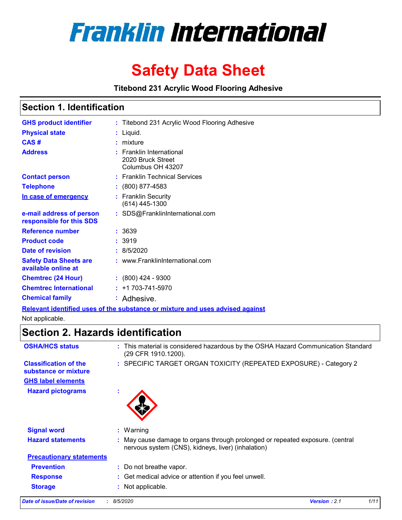

# **Safety Data Sheet**

**Titebond 231 Acrylic Wood Flooring Adhesive**

# **Section 1. Identification**

| <b>GHS product identifier</b>                        | : Titebond 231 Acrylic Wood Flooring Adhesive                                 |
|------------------------------------------------------|-------------------------------------------------------------------------------|
| <b>Physical state</b>                                | $:$ Liquid.                                                                   |
| CAS#                                                 | : mixture                                                                     |
| <b>Address</b>                                       | $:$ Franklin International<br>2020 Bruck Street<br>Columbus OH 43207          |
| <b>Contact person</b>                                | : Franklin Technical Services                                                 |
| <b>Telephone</b>                                     | $: (800) 877-4583$                                                            |
| In case of emergency                                 | : Franklin Security<br>(614) 445-1300                                         |
| e-mail address of person<br>responsible for this SDS | : SDS@FranklinInternational.com                                               |
| <b>Reference number</b>                              | : 3639                                                                        |
| <b>Product code</b>                                  | :3919                                                                         |
| Date of revision                                     | : 8/5/2020                                                                    |
| <b>Safety Data Sheets are</b><br>available online at | : www.FranklinInternational.com                                               |
| <b>Chemtrec (24 Hour)</b>                            | $: (800)$ 424 - 9300                                                          |
| <b>Chemtrec International</b>                        | $: +1703 - 741 - 5970$                                                        |
| <b>Chemical family</b>                               | : Adhesive.                                                                   |
|                                                      | Polovant identified uses of the substance or mixture and uses advised against |

**Relevant identified uses of the substance or mixture and uses advised against** Not applicable.

# **Section 2. Hazards identification**

| <b>OSHA/HCS status</b>                               |              | : This material is considered hazardous by the OSHA Hazard Communication Standard<br>(29 CFR 1910.1200).                          |
|------------------------------------------------------|--------------|-----------------------------------------------------------------------------------------------------------------------------------|
| <b>Classification of the</b><br>substance or mixture |              | : SPECIFIC TARGET ORGAN TOXICITY (REPEATED EXPOSURE) - Category 2                                                                 |
| <b>GHS label elements</b>                            |              |                                                                                                                                   |
| <b>Hazard pictograms</b>                             | $\mathbf{r}$ |                                                                                                                                   |
| <b>Signal word</b>                                   |              | $:$ Warning                                                                                                                       |
|                                                      |              |                                                                                                                                   |
| <b>Hazard statements</b>                             |              | May cause damage to organs through prolonged or repeated exposure. (central<br>nervous system (CNS), kidneys, liver) (inhalation) |
| <b>Precautionary statements</b>                      |              |                                                                                                                                   |
| <b>Prevention</b>                                    |              | : Do not breathe vapor.                                                                                                           |
|                                                      |              |                                                                                                                                   |
| <b>Response</b>                                      |              | : Get medical advice or attention if you feel unwell.                                                                             |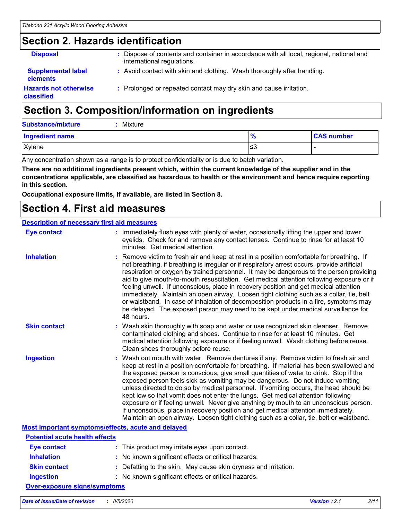# **Section 2. Hazards identification**

| <b>Disposal</b>                                   | : Dispose of contents and container in accordance with all local, regional, national and<br>international regulations. |
|---------------------------------------------------|------------------------------------------------------------------------------------------------------------------------|
| <b>Supplemental label</b><br><b>elements</b>      | : Avoid contact with skin and clothing. Wash thoroughly after handling.                                                |
| <b>Hazards not otherwise</b><br><b>classified</b> | : Prolonged or repeated contact may dry skin and cause irritation.                                                     |

# **Section 3. Composition/information on ingredients**

**Substance/mixture :** Mixture

| <b>Ingredient name</b> |     | <b>CAS number</b> |
|------------------------|-----|-------------------|
| Xylene                 | ت≤ا |                   |

Any concentration shown as a range is to protect confidentiality or is due to batch variation.

**There are no additional ingredients present which, within the current knowledge of the supplier and in the concentrations applicable, are classified as hazardous to health or the environment and hence require reporting in this section.**

**Occupational exposure limits, if available, are listed in Section 8.**

# **Section 4. First aid measures**

#### **Description of necessary first aid measures**

| <b>Eye contact</b>                                 | : Immediately flush eyes with plenty of water, occasionally lifting the upper and lower<br>eyelids. Check for and remove any contact lenses. Continue to rinse for at least 10<br>minutes. Get medical attention.                                                                                                                                                                                                                                                                                                                                                                                                                                                                                                                                                                                                 |
|----------------------------------------------------|-------------------------------------------------------------------------------------------------------------------------------------------------------------------------------------------------------------------------------------------------------------------------------------------------------------------------------------------------------------------------------------------------------------------------------------------------------------------------------------------------------------------------------------------------------------------------------------------------------------------------------------------------------------------------------------------------------------------------------------------------------------------------------------------------------------------|
| <b>Inhalation</b>                                  | : Remove victim to fresh air and keep at rest in a position comfortable for breathing. If<br>not breathing, if breathing is irregular or if respiratory arrest occurs, provide artificial<br>respiration or oxygen by trained personnel. It may be dangerous to the person providing<br>aid to give mouth-to-mouth resuscitation. Get medical attention following exposure or if<br>feeling unwell. If unconscious, place in recovery position and get medical attention<br>immediately. Maintain an open airway. Loosen tight clothing such as a collar, tie, belt<br>or waistband. In case of inhalation of decomposition products in a fire, symptoms may<br>be delayed. The exposed person may need to be kept under medical surveillance for<br>48 hours.                                                    |
| <b>Skin contact</b>                                | : Wash skin thoroughly with soap and water or use recognized skin cleanser. Remove<br>contaminated clothing and shoes. Continue to rinse for at least 10 minutes. Get<br>medical attention following exposure or if feeling unwell. Wash clothing before reuse.<br>Clean shoes thoroughly before reuse.                                                                                                                                                                                                                                                                                                                                                                                                                                                                                                           |
| <b>Ingestion</b>                                   | : Wash out mouth with water. Remove dentures if any. Remove victim to fresh air and<br>keep at rest in a position comfortable for breathing. If material has been swallowed and<br>the exposed person is conscious, give small quantities of water to drink. Stop if the<br>exposed person feels sick as vomiting may be dangerous. Do not induce vomiting<br>unless directed to do so by medical personnel. If vomiting occurs, the head should be<br>kept low so that vomit does not enter the lungs. Get medical attention following<br>exposure or if feeling unwell. Never give anything by mouth to an unconscious person.<br>If unconscious, place in recovery position and get medical attention immediately.<br>Maintain an open airway. Loosen tight clothing such as a collar, tie, belt or waistband. |
| Most important symptoms/effects, acute and delayed |                                                                                                                                                                                                                                                                                                                                                                                                                                                                                                                                                                                                                                                                                                                                                                                                                   |
| <b>Potential acute health effects</b>              |                                                                                                                                                                                                                                                                                                                                                                                                                                                                                                                                                                                                                                                                                                                                                                                                                   |
| <b>Eye contact</b>                                 | : This product may irritate eyes upon contact.                                                                                                                                                                                                                                                                                                                                                                                                                                                                                                                                                                                                                                                                                                                                                                    |
| <b>Inhalation</b>                                  | : No known significant effects or critical hazards.                                                                                                                                                                                                                                                                                                                                                                                                                                                                                                                                                                                                                                                                                                                                                               |
| <b>Skin contact</b>                                | : Defatting to the skin. May cause skin dryness and irritation.                                                                                                                                                                                                                                                                                                                                                                                                                                                                                                                                                                                                                                                                                                                                                   |
| <b>Ingestion</b>                                   | : No known significant effects or critical hazards.                                                                                                                                                                                                                                                                                                                                                                                                                                                                                                                                                                                                                                                                                                                                                               |
| <b>Over-exposure signs/symptoms</b>                |                                                                                                                                                                                                                                                                                                                                                                                                                                                                                                                                                                                                                                                                                                                                                                                                                   |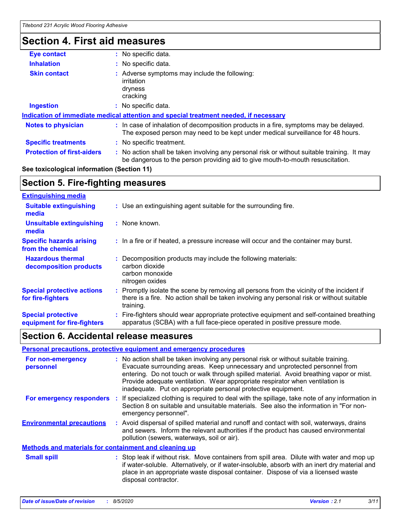# **Section 4. First aid measures**

| <b>Eye contact</b>                         | : No specific data.                                                                                                                                                           |  |  |
|--------------------------------------------|-------------------------------------------------------------------------------------------------------------------------------------------------------------------------------|--|--|
| <b>Inhalation</b>                          | : No specific data.                                                                                                                                                           |  |  |
| <b>Skin contact</b>                        | Adverse symptoms may include the following:<br>irritation<br>dryness<br>cracking                                                                                              |  |  |
| <b>Ingestion</b>                           | : No specific data.                                                                                                                                                           |  |  |
|                                            | Indication of immediate medical attention and special treatment needed, if necessary                                                                                          |  |  |
| <b>Notes to physician</b>                  | : In case of inhalation of decomposition products in a fire, symptoms may be delayed.<br>The exposed person may need to be kept under medical surveillance for 48 hours.      |  |  |
| <b>Specific treatments</b>                 | : No specific treatment.                                                                                                                                                      |  |  |
| <b>Protection of first-aiders</b>          | : No action shall be taken involving any personal risk or without suitable training. It may<br>be dangerous to the person providing aid to give mouth-to-mouth resuscitation. |  |  |
| Soo toxicological information (Soction 11) |                                                                                                                                                                               |  |  |

**See toxicological information (Section 11)**

# **Section 5. Fire-fighting measures**

| <b>Extinguishing media</b>                               |                                                                                                                                                                                                   |
|----------------------------------------------------------|---------------------------------------------------------------------------------------------------------------------------------------------------------------------------------------------------|
| <b>Suitable extinguishing</b><br>media                   | : Use an extinguishing agent suitable for the surrounding fire.                                                                                                                                   |
| <b>Unsuitable extinguishing</b><br>media                 | : None known.                                                                                                                                                                                     |
| <b>Specific hazards arising</b><br>from the chemical     | : In a fire or if heated, a pressure increase will occur and the container may burst.                                                                                                             |
| <b>Hazardous thermal</b><br>decomposition products       | Decomposition products may include the following materials:<br>carbon dioxide<br>carbon monoxide<br>nitrogen oxides                                                                               |
| <b>Special protective actions</b><br>for fire-fighters   | Promptly isolate the scene by removing all persons from the vicinity of the incident if<br>there is a fire. No action shall be taken involving any personal risk or without suitable<br>training. |
| <b>Special protective</b><br>equipment for fire-fighters | Fire-fighters should wear appropriate protective equipment and self-contained breathing<br>apparatus (SCBA) with a full face-piece operated in positive pressure mode.                            |

# **Section 6. Accidental release measures**

|                                                       | Personal precautions, protective equipment and emergency procedures                                                                                                                                                                                                                                                                                                                                              |
|-------------------------------------------------------|------------------------------------------------------------------------------------------------------------------------------------------------------------------------------------------------------------------------------------------------------------------------------------------------------------------------------------------------------------------------------------------------------------------|
| For non-emergency<br>personnel                        | : No action shall be taken involving any personal risk or without suitable training.<br>Evacuate surrounding areas. Keep unnecessary and unprotected personnel from<br>entering. Do not touch or walk through spilled material. Avoid breathing vapor or mist.<br>Provide adequate ventilation. Wear appropriate respirator when ventilation is<br>inadequate. Put on appropriate personal protective equipment. |
| <b>For emergency responders :</b>                     | If specialized clothing is required to deal with the spillage, take note of any information in<br>Section 8 on suitable and unsuitable materials. See also the information in "For non-<br>emergency personnel".                                                                                                                                                                                                 |
| <b>Environmental precautions</b>                      | : Avoid dispersal of spilled material and runoff and contact with soil, waterways, drains<br>and sewers. Inform the relevant authorities if the product has caused environmental<br>pollution (sewers, waterways, soil or air).                                                                                                                                                                                  |
| Methods and materials for containment and cleaning up |                                                                                                                                                                                                                                                                                                                                                                                                                  |
| <b>Small spill</b>                                    | : Stop leak if without risk. Move containers from spill area. Dilute with water and mop up<br>if water-soluble. Alternatively, or if water-insoluble, absorb with an inert dry material and<br>place in an appropriate waste disposal container. Dispose of via a licensed waste<br>disposal contractor.                                                                                                         |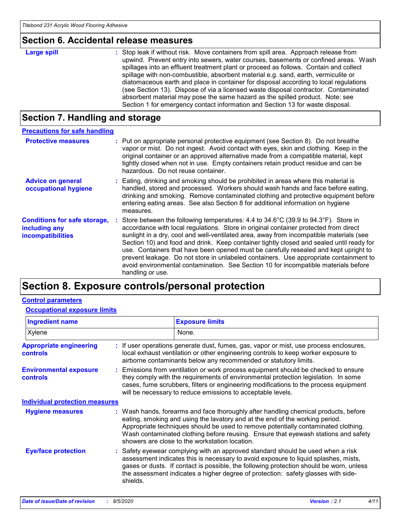# **Section 6. Accidental release measures**

| <b>Large spill</b> | : Stop leak if without risk. Move containers from spill area. Approach release from<br>upwind. Prevent entry into sewers, water courses, basements or confined areas. Wash<br>spillages into an effluent treatment plant or proceed as follows. Contain and collect<br>spillage with non-combustible, absorbent material e.g. sand, earth, vermiculite or<br>diatomaceous earth and place in container for disposal according to local regulations<br>(see Section 13). Dispose of via a licensed waste disposal contractor. Contaminated<br>absorbent material may pose the same hazard as the spilled product. Note: see |
|--------------------|----------------------------------------------------------------------------------------------------------------------------------------------------------------------------------------------------------------------------------------------------------------------------------------------------------------------------------------------------------------------------------------------------------------------------------------------------------------------------------------------------------------------------------------------------------------------------------------------------------------------------|
|                    | Section 1 for emergency contact information and Section 13 for waste disposal.                                                                                                                                                                                                                                                                                                                                                                                                                                                                                                                                             |

# **Section 7. Handling and storage**

| <b>Precautions for safe handling</b>                                      |                                                                                                                                                                                                                                                                                                                                                                                                                                                                                                                                                                                                                                                                                     |
|---------------------------------------------------------------------------|-------------------------------------------------------------------------------------------------------------------------------------------------------------------------------------------------------------------------------------------------------------------------------------------------------------------------------------------------------------------------------------------------------------------------------------------------------------------------------------------------------------------------------------------------------------------------------------------------------------------------------------------------------------------------------------|
| <b>Protective measures</b>                                                | : Put on appropriate personal protective equipment (see Section 8). Do not breathe<br>vapor or mist. Do not ingest. Avoid contact with eyes, skin and clothing. Keep in the<br>original container or an approved alternative made from a compatible material, kept<br>tightly closed when not in use. Empty containers retain product residue and can be<br>hazardous. Do not reuse container.                                                                                                                                                                                                                                                                                      |
| <b>Advice on general</b><br>occupational hygiene                          | : Eating, drinking and smoking should be prohibited in areas where this material is<br>handled, stored and processed. Workers should wash hands and face before eating,<br>drinking and smoking. Remove contaminated clothing and protective equipment before<br>entering eating areas. See also Section 8 for additional information on hygiene<br>measures.                                                                                                                                                                                                                                                                                                                       |
| <b>Conditions for safe storage,</b><br>including any<br>incompatibilities | Store between the following temperatures: $4.4$ to $34.6^{\circ}$ C (39.9 to $94.3^{\circ}$ F). Store in<br>accordance with local regulations. Store in original container protected from direct<br>sunlight in a dry, cool and well-ventilated area, away from incompatible materials (see<br>Section 10) and food and drink. Keep container tightly closed and sealed until ready for<br>use. Containers that have been opened must be carefully resealed and kept upright to<br>prevent leakage. Do not store in unlabeled containers. Use appropriate containment to<br>avoid environmental contamination. See Section 10 for incompatible materials before<br>handling or use. |

# **Section 8. Exposure controls/personal protection**

## **Control parameters**

### **Occupational exposure limits**

| <b>Ingredient name</b>                           |          | <b>Exposure limits</b>                                                                                                                                                                                                                                                                                                                                                                            |
|--------------------------------------------------|----------|---------------------------------------------------------------------------------------------------------------------------------------------------------------------------------------------------------------------------------------------------------------------------------------------------------------------------------------------------------------------------------------------------|
| Xylene                                           |          | None.                                                                                                                                                                                                                                                                                                                                                                                             |
| <b>Appropriate engineering</b><br>controls       |          | : If user operations generate dust, fumes, gas, vapor or mist, use process enclosures,<br>local exhaust ventilation or other engineering controls to keep worker exposure to<br>airborne contaminants below any recommended or statutory limits.                                                                                                                                                  |
| <b>Environmental exposure</b><br><b>controls</b> |          | : Emissions from ventilation or work process equipment should be checked to ensure<br>they comply with the requirements of environmental protection legislation. In some<br>cases, fume scrubbers, filters or engineering modifications to the process equipment<br>will be necessary to reduce emissions to acceptable levels.                                                                   |
| <b>Individual protection measures</b>            |          |                                                                                                                                                                                                                                                                                                                                                                                                   |
| <b>Hygiene measures</b>                          |          | : Wash hands, forearms and face thoroughly after handling chemical products, before<br>eating, smoking and using the lavatory and at the end of the working period.<br>Appropriate techniques should be used to remove potentially contaminated clothing.<br>Wash contaminated clothing before reusing. Ensure that eyewash stations and safety<br>showers are close to the workstation location. |
| <b>Eye/face protection</b>                       | shields. | : Safety eyewear complying with an approved standard should be used when a risk<br>assessment indicates this is necessary to avoid exposure to liquid splashes, mists,<br>gases or dusts. If contact is possible, the following protection should be worn, unless<br>the assessment indicates a higher degree of protection: safety glasses with side-                                            |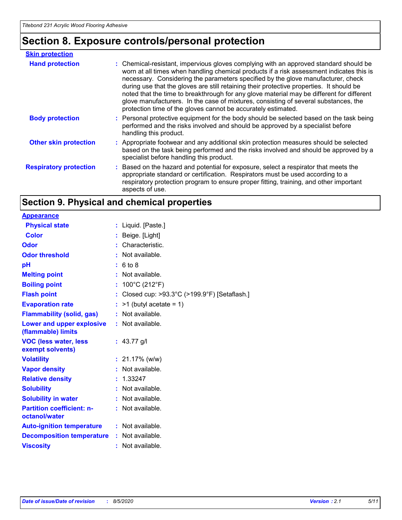# **Section 8. Exposure controls/personal protection**

| <b>Skin protection</b>        |                                                                                                                                                                                                                                                                                                                                                                                                                                                                                                                                                                                                                        |
|-------------------------------|------------------------------------------------------------------------------------------------------------------------------------------------------------------------------------------------------------------------------------------------------------------------------------------------------------------------------------------------------------------------------------------------------------------------------------------------------------------------------------------------------------------------------------------------------------------------------------------------------------------------|
| <b>Hand protection</b>        | : Chemical-resistant, impervious gloves complying with an approved standard should be<br>worn at all times when handling chemical products if a risk assessment indicates this is<br>necessary. Considering the parameters specified by the glove manufacturer, check<br>during use that the gloves are still retaining their protective properties. It should be<br>noted that the time to breakthrough for any glove material may be different for different<br>glove manufacturers. In the case of mixtures, consisting of several substances, the<br>protection time of the gloves cannot be accurately estimated. |
| <b>Body protection</b>        | : Personal protective equipment for the body should be selected based on the task being<br>performed and the risks involved and should be approved by a specialist before<br>handling this product.                                                                                                                                                                                                                                                                                                                                                                                                                    |
| <b>Other skin protection</b>  | : Appropriate footwear and any additional skin protection measures should be selected<br>based on the task being performed and the risks involved and should be approved by a<br>specialist before handling this product.                                                                                                                                                                                                                                                                                                                                                                                              |
| <b>Respiratory protection</b> | : Based on the hazard and potential for exposure, select a respirator that meets the<br>appropriate standard or certification. Respirators must be used according to a<br>respiratory protection program to ensure proper fitting, training, and other important<br>aspects of use.                                                                                                                                                                                                                                                                                                                                    |

# **Section 9. Physical and chemical properties**

| <b>Appearance</b>                                 |    |                                                                  |
|---------------------------------------------------|----|------------------------------------------------------------------|
| <b>Physical state</b>                             | ÷. | Liquid. [Paste.]                                                 |
| <b>Color</b>                                      |    | Beige. [Light]                                                   |
| Odor                                              |    | Characteristic.                                                  |
| <b>Odor threshold</b>                             |    | Not available.                                                   |
| рH                                                |    | : 6 to 8                                                         |
| <b>Melting point</b>                              |    | : Not available.                                                 |
| <b>Boiling point</b>                              | ÷  | 100°C (212°F)                                                    |
| <b>Flash point</b>                                |    | Closed cup: $>93.3^{\circ}$ C ( $>199.9^{\circ}$ F) [Setaflash.] |
| <b>Evaporation rate</b>                           |    | $>1$ (butyl acetate = 1)                                         |
| <b>Flammability (solid, gas)</b>                  |    | Not available.                                                   |
| Lower and upper explosive<br>(flammable) limits   |    | : Not available.                                                 |
| <b>VOC (less water, less</b><br>exempt solvents)  |    | : $43.77$ g/l                                                    |
| <b>Volatility</b>                                 |    | $: 21.17\%$ (w/w)                                                |
| <b>Vapor density</b>                              |    | Not available.                                                   |
| <b>Relative density</b>                           |    | 1.33247                                                          |
| <b>Solubility</b>                                 |    | Not available.                                                   |
| <b>Solubility in water</b>                        |    | Not available.                                                   |
| <b>Partition coefficient: n-</b><br>octanol/water |    | : Not available.                                                 |
| <b>Auto-ignition temperature</b>                  |    | : Not available.                                                 |
| <b>Decomposition temperature</b>                  |    | : Not available.                                                 |
| <b>Viscosity</b>                                  |    | Not available.                                                   |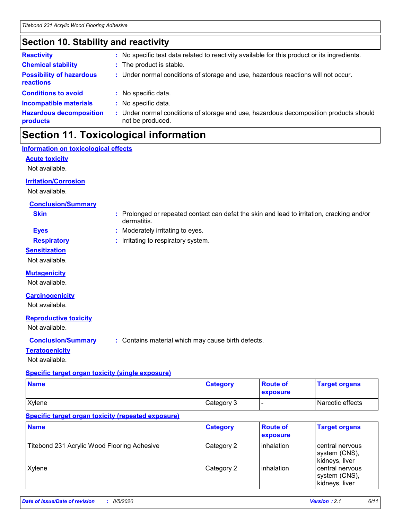# **Section 10. Stability and reactivity**

| <b>Reactivity</b>                            | : No specific test data related to reactivity available for this product or its ingredients.                  |
|----------------------------------------------|---------------------------------------------------------------------------------------------------------------|
| <b>Chemical stability</b>                    | : The product is stable.                                                                                      |
| <b>Possibility of hazardous</b><br>reactions | : Under normal conditions of storage and use, hazardous reactions will not occur.                             |
| <b>Conditions to avoid</b>                   | : No specific data.                                                                                           |
| <b>Incompatible materials</b>                | : No specific data.                                                                                           |
| <b>Hazardous decomposition</b><br>products   | Under normal conditions of storage and use, hazardous decomposition products should<br>t.<br>not be produced. |

# **Section 11. Toxicological information**

dermatitis.

### **Information on toxicological effects**

**Acute toxicity**

Not available.

### **Irritation/Corrosion**

Not available.

### **Conclusion/Summary**

**Skin :** Prolonged or repeated contact can defat the skin and lead to irritation, cracking and/or

**Eyes :** Moderately irritating to eyes.

### **Respiratory :** Irritating to respiratory system.

**Sensitization**

Not available.

### **Mutagenicity**

Not available.

#### **Carcinogenicity**

Not available.

### **Reproductive toxicity**

Not available.

**Conclusion/Summary :** Contains material which may cause birth defects.

### **Teratogenicity**

Not available.

## **Specific target organ toxicity (single exposure)**

| <b>Name</b> | <b>Category</b> | <b>Route of</b><br>exposure | <b>Target organs</b> |
|-------------|-----------------|-----------------------------|----------------------|
| Xylene      | Category 3      |                             | Narcotic effects     |

## **Specific target organ toxicity (repeated exposure)**

| <b>Name</b>                                 | <b>Category</b> | <b>Route of</b><br>exposure | <b>Target organs</b>                               |
|---------------------------------------------|-----------------|-----------------------------|----------------------------------------------------|
| Titebond 231 Acrylic Wood Flooring Adhesive | Category 2      | <b>linhalation</b>          | central nervous<br>system (CNS),<br>kidneys, liver |
| Xylene                                      | Category 2      | <b>linhalation</b>          | central nervous<br>system (CNS),<br>kidneys, liver |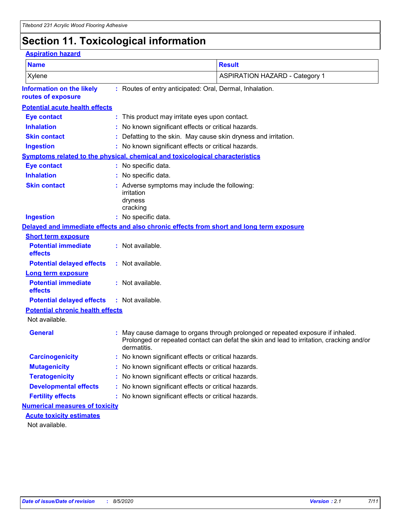# **Section 11. Toxicological information**

| <b>Aspiration hazard</b>                                            |  |                                                                                                                                                                                            |  |  |  |
|---------------------------------------------------------------------|--|--------------------------------------------------------------------------------------------------------------------------------------------------------------------------------------------|--|--|--|
| <b>Name</b>                                                         |  | <b>Result</b>                                                                                                                                                                              |  |  |  |
| Xylene                                                              |  | <b>ASPIRATION HAZARD - Category 1</b>                                                                                                                                                      |  |  |  |
| <b>Information on the likely</b><br>routes of exposure              |  | : Routes of entry anticipated: Oral, Dermal, Inhalation.                                                                                                                                   |  |  |  |
| <b>Potential acute health effects</b>                               |  |                                                                                                                                                                                            |  |  |  |
| <b>Eye contact</b>                                                  |  | : This product may irritate eyes upon contact.                                                                                                                                             |  |  |  |
| <b>Inhalation</b>                                                   |  | No known significant effects or critical hazards.                                                                                                                                          |  |  |  |
| <b>Skin contact</b>                                                 |  | Defatting to the skin. May cause skin dryness and irritation.                                                                                                                              |  |  |  |
| <b>Ingestion</b>                                                    |  | : No known significant effects or critical hazards.                                                                                                                                        |  |  |  |
|                                                                     |  | Symptoms related to the physical, chemical and toxicological characteristics                                                                                                               |  |  |  |
| <b>Eye contact</b>                                                  |  | : No specific data.                                                                                                                                                                        |  |  |  |
| <b>Inhalation</b>                                                   |  | : No specific data.                                                                                                                                                                        |  |  |  |
| <b>Skin contact</b>                                                 |  | : Adverse symptoms may include the following:<br>irritation<br>dryness<br>cracking                                                                                                         |  |  |  |
| <b>Ingestion</b>                                                    |  | : No specific data.                                                                                                                                                                        |  |  |  |
|                                                                     |  | Delayed and immediate effects and also chronic effects from short and long term exposure                                                                                                   |  |  |  |
| <b>Short term exposure</b><br><b>Potential immediate</b><br>effects |  | : Not available.                                                                                                                                                                           |  |  |  |
| <b>Potential delayed effects</b>                                    |  | : Not available.                                                                                                                                                                           |  |  |  |
| <b>Long term exposure</b><br><b>Potential immediate</b><br>effects  |  | : Not available.                                                                                                                                                                           |  |  |  |
| <b>Potential delayed effects</b>                                    |  | : Not available.                                                                                                                                                                           |  |  |  |
| <b>Potential chronic health effects</b>                             |  |                                                                                                                                                                                            |  |  |  |
| Not available.                                                      |  |                                                                                                                                                                                            |  |  |  |
| <b>General</b>                                                      |  | : May cause damage to organs through prolonged or repeated exposure if inhaled.<br>Prolonged or repeated contact can defat the skin and lead to irritation, cracking and/or<br>dermatitis. |  |  |  |
| <b>Carcinogenicity</b>                                              |  | No known significant effects or critical hazards.                                                                                                                                          |  |  |  |
| <b>Mutagenicity</b>                                                 |  | No known significant effects or critical hazards.                                                                                                                                          |  |  |  |
| <b>Teratogenicity</b>                                               |  | No known significant effects or critical hazards.                                                                                                                                          |  |  |  |
| <b>Developmental effects</b>                                        |  | No known significant effects or critical hazards.                                                                                                                                          |  |  |  |
| <b>Fertility effects</b>                                            |  | No known significant effects or critical hazards.                                                                                                                                          |  |  |  |
| <b>Numerical measures of toxicity</b>                               |  |                                                                                                                                                                                            |  |  |  |
| <b>Acute toxicity estimates</b><br>Not ovoilable                    |  |                                                                                                                                                                                            |  |  |  |

Not available.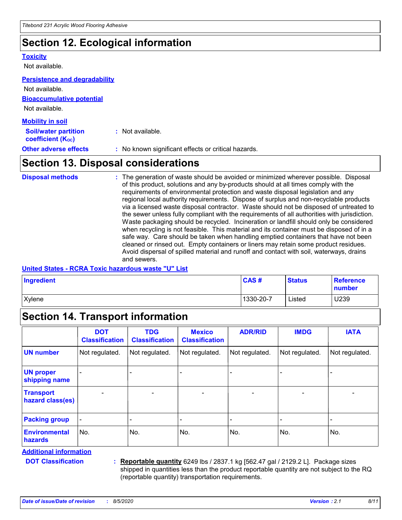# **Section 12. Ecological information**

#### **Toxicity**

Not available.

#### **Persistence and degradability**

**Bioaccumulative potential** Not available. **Mobility in soil** Not available.

| <b>MODILLY III SOIL</b>                                 |                                                     |
|---------------------------------------------------------|-----------------------------------------------------|
| <b>Soil/water partition</b><br><b>coefficient (Koc)</b> | : Not available.                                    |
| <b>Other adverse effects</b>                            | : No known significant effects or critical hazards. |

# **Section 13. Disposal considerations**

The generation of waste should be avoided or minimized wherever possible. Disposal of this product, solutions and any by-products should at all times comply with the requirements of environmental protection and waste disposal legislation and any regional local authority requirements. Dispose of surplus and non-recyclable products via a licensed waste disposal contractor. Waste should not be disposed of untreated to the sewer unless fully compliant with the requirements of all authorities with jurisdiction. Waste packaging should be recycled. Incineration or landfill should only be considered when recycling is not feasible. This material and its container must be disposed of in a safe way. Care should be taken when handling emptied containers that have not been cleaned or rinsed out. Empty containers or liners may retain some product residues. Avoid dispersal of spilled material and runoff and contact with soil, waterways, drains and sewers. **Disposal methods :**

### **United States - RCRA Toxic hazardous waste "U" List**

| Ingredient    | <b>CAS#</b> | <b>Status</b> | <b>Reference</b><br><b>number</b> |
|---------------|-------------|---------------|-----------------------------------|
| <b>Xylene</b> | 1330-20-7   | Listed        | U239                              |

# **Section 14. Transport information**

|                                      | <b>DOT</b><br><b>Classification</b> | <b>TDG</b><br><b>Classification</b> | <b>Mexico</b><br><b>Classification</b> | <b>ADR/RID</b>           | <b>IMDG</b>              | <b>IATA</b>              |
|--------------------------------------|-------------------------------------|-------------------------------------|----------------------------------------|--------------------------|--------------------------|--------------------------|
| <b>UN number</b>                     | Not regulated.                      | Not regulated.                      | Not regulated.                         | Not regulated.           | Not regulated.           | Not regulated.           |
| <b>UN proper</b><br>shipping name    |                                     |                                     |                                        |                          |                          |                          |
| <b>Transport</b><br>hazard class(es) | $\qquad \qquad \blacksquare$        | $\overline{\phantom{0}}$            | $\overline{\phantom{0}}$               | $\overline{\phantom{0}}$ | $\overline{\phantom{0}}$ | $\overline{\phantom{0}}$ |
| <b>Packing group</b>                 |                                     |                                     |                                        |                          |                          |                          |
| <b>Environmental</b><br>hazards      | No.                                 | No.                                 | No.                                    | No.                      | No.                      | No.                      |

**Additional information**

**DOT Classification :**

**Reportable quantity** 6249 lbs / 2837.1 kg [562.47 gal / 2129.2 L]. Package sizes shipped in quantities less than the product reportable quantity are not subject to the RQ (reportable quantity) transportation requirements.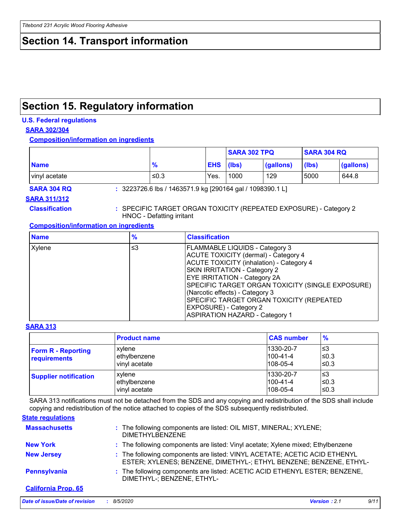# **Section 14. Transport information**

# **Section 15. Regulatory information**

### **U.S. Federal regulations**

### **SARA 302/304**

**Composition/information on ingredients**

|               |               |                  | <b>SARA 302 TPQ</b> |           | <b>SARA 304 RQ</b> |           |
|---------------|---------------|------------------|---------------------|-----------|--------------------|-----------|
| <b>Name</b>   | $\frac{9}{6}$ | <b>EHS</b> (lbs) |                     | (gallons) | $ $ (lbs)          | (gallons) |
| vinyl acetate | ≤0.3          | Yes.             | 1000                | 129       | 5000               | 644.8     |

**SARA 304 RQ :** 3223726.6 lbs / 1463571.9 kg [290164 gal / 1098390.1 L]

#### **SARA 311/312**

**Classification :** SPECIFIC TARGET ORGAN TOXICITY (REPEATED EXPOSURE) - Category 2 HNOC - Defatting irritant

### **Composition/information on ingredients**

| <b>Name</b> | $\%$ | <b>Classification</b>                                                                                                                                                                                                                                                                                                                                                              |
|-------------|------|------------------------------------------------------------------------------------------------------------------------------------------------------------------------------------------------------------------------------------------------------------------------------------------------------------------------------------------------------------------------------------|
| Xylene      | ≤3   | <b>FLAMMABLE LIQUIDS - Category 3</b><br>ACUTE TOXICITY (dermal) - Category 4<br><b>ACUTE TOXICITY (inhalation) - Category 4</b><br><b>SKIN IRRITATION - Category 2</b><br><b>EYE IRRITATION - Category 2A</b><br>SPECIFIC TARGET ORGAN TOXICITY (SINGLE EXPOSURE)<br>(Narcotic effects) - Category 3<br>SPECIFIC TARGET ORGAN TOXICITY (REPEATED<br><b>EXPOSURE) - Category 2</b> |
|             |      | <b>ASPIRATION HAZARD - Category 1</b>                                                                                                                                                                                                                                                                                                                                              |

#### **SARA 313**

|                                           | <b>Product name</b>                     | <b>CAS number</b>                              | $\frac{9}{6}$         |
|-------------------------------------------|-----------------------------------------|------------------------------------------------|-----------------------|
| <b>Form R - Reporting</b><br>requirements | xvlene<br>ethylbenzene<br>vinyl acetate | 1330-20-7<br>$1100 - 41 - 4$<br>$108-05-4$     | l≤3<br>l≤0.3<br>≤0.3  |
| <b>Supplier notification</b>              | xylene<br>ethylbenzene<br>vinyl acetate | 1330-20-7<br>$1100 - 41 - 4$<br>$108 - 05 - 4$ | l≤3<br>l≤0.3<br>l≤0.3 |

SARA 313 notifications must not be detached from the SDS and any copying and redistribution of the SDS shall include copying and redistribution of the notice attached to copies of the SDS subsequently redistributed.

### **State regulations**

| <b>Massachusetts</b>       | : The following components are listed: OIL MIST, MINERAL; XYLENE;<br><b>DIMETHYLBENZENE</b>                                                     |
|----------------------------|-------------------------------------------------------------------------------------------------------------------------------------------------|
| <b>New York</b>            | : The following components are listed: Vinyl acetate; Xylene mixed; Ethylbenzene                                                                |
| <b>New Jersey</b>          | : The following components are listed: VINYL ACETATE; ACETIC ACID ETHENYL<br>ESTER; XYLENES; BENZENE, DIMETHYL-; ETHYL BENZENE; BENZENE, ETHYL- |
| Pennsylvania               | : The following components are listed: ACETIC ACID ETHENYL ESTER; BENZENE,<br>DIMETHYL-; BENZENE, ETHYL-                                        |
| <b>California Prop. 65</b> |                                                                                                                                                 |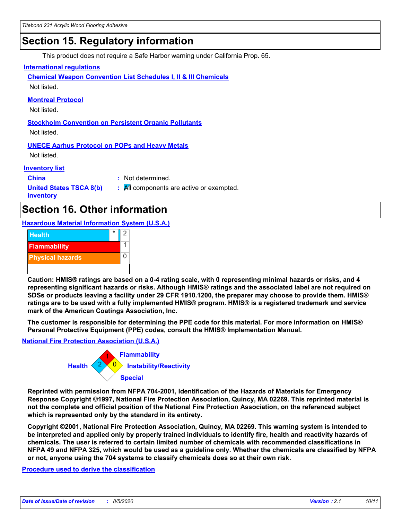# **Section 15. Regulatory information**

This product does not require a Safe Harbor warning under California Prop. 65.

### **International regulations**

**Chemical Weapon Convention List Schedules I, II & III Chemicals** Not listed.

**Montreal Protocol**

Not listed.

**Stockholm Convention on Persistent Organic Pollutants** Not listed.

## **UNECE Aarhus Protocol on POPs and Heavy Metals**

Not listed.

**Inventory list**

**China :** Not determined.

**United States TSCA 8(b) inventory**

# **:** All components are active or exempted.

# **Section 16. Other information**

**Hazardous Material Information System (U.S.A.)**



**Caution: HMIS® ratings are based on a 0-4 rating scale, with 0 representing minimal hazards or risks, and 4 representing significant hazards or risks. Although HMIS® ratings and the associated label are not required on SDSs or products leaving a facility under 29 CFR 1910.1200, the preparer may choose to provide them. HMIS® ratings are to be used with a fully implemented HMIS® program. HMIS® is a registered trademark and service mark of the American Coatings Association, Inc.**

**The customer is responsible for determining the PPE code for this material. For more information on HMIS® Personal Protective Equipment (PPE) codes, consult the HMIS® Implementation Manual.**

### **National Fire Protection Association (U.S.A.)**



**Reprinted with permission from NFPA 704-2001, Identification of the Hazards of Materials for Emergency Response Copyright ©1997, National Fire Protection Association, Quincy, MA 02269. This reprinted material is not the complete and official position of the National Fire Protection Association, on the referenced subject which is represented only by the standard in its entirety.**

**Copyright ©2001, National Fire Protection Association, Quincy, MA 02269. This warning system is intended to be interpreted and applied only by properly trained individuals to identify fire, health and reactivity hazards of chemicals. The user is referred to certain limited number of chemicals with recommended classifications in NFPA 49 and NFPA 325, which would be used as a guideline only. Whether the chemicals are classified by NFPA or not, anyone using the 704 systems to classify chemicals does so at their own risk.**

**Procedure used to derive the classification**